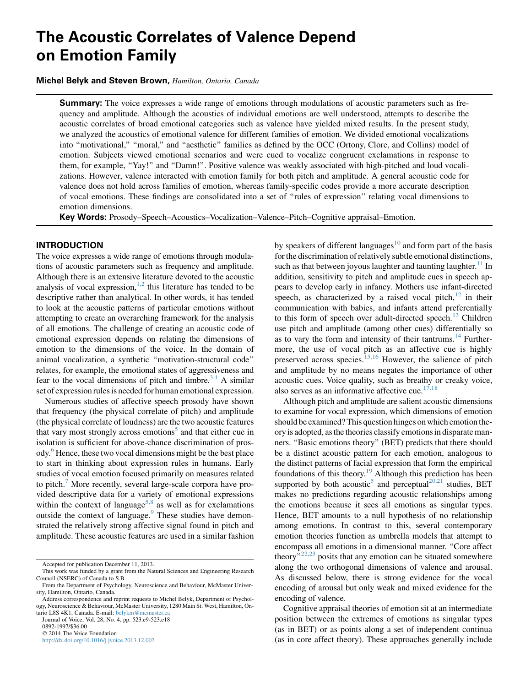# The Acoustic Correlates of Valence Depend on Emotion Family

Michel Belyk and Steven Brown, Hamilton, Ontario, Canada

**Summary:** The voice expresses a wide range of emotions through modulations of acoustic parameters such as frequency and amplitude. Although the acoustics of individual emotions are well understood, attempts to describe the acoustic correlates of broad emotional categories such as valence have yielded mixed results. In the present study, we analyzed the acoustics of emotional valence for different families of emotion. We divided emotional vocalizations into "motivational," "moral," and "aesthetic" families as defined by the OCC (Ortony, Clore, and Collins) model of emotion. Subjects viewed emotional scenarios and were cued to vocalize congruent exclamations in response to them, for example, "Yay!" and "Damn!". Positive valence was weakly associated with high-pitched and loud vocalizations. However, valence interacted with emotion family for both pitch and amplitude. A general acoustic code for valence does not hold across families of emotion, whereas family-specific codes provide a more accurate description of vocal emotions. These findings are consolidated into a set of ''rules of expression'' relating vocal dimensions to emotion dimensions.

Key Words: Prosody–Speech–Acoustics–Vocalization–Valence–Pitch–Cognitive appraisal–Emotion.

## INTRODUCTION

The voice expresses a wide range of emotions through modulations of acoustic parameters such as frequency and amplitude. Although there is an extensive literature devoted to the acoustic analysis of vocal expression,  $\frac{1}{2}$  this literature has tended to be descriptive rather than analytical. In other words, it has tended to look at the acoustic patterns of particular emotions without attempting to create an overarching framework for the analysis of all emotions. The challenge of creating an acoustic code of emotional expression depends on relating the dimensions of emotion to the dimensions of the voice. In the domain of animal vocalization, a synthetic ''motivation-structural code'' relates, for example, the emotional states of aggressiveness and fear to the vocal dimensions of pitch and timbre.<sup>3,4</sup> A similar set of expression rules is needed for human emotional expression.

Numerous studies of affective speech prosody have shown that frequency (the physical correlate of pitch) and amplitude (the physical correlate of loudness) are the two acoustic features that vary most strongly across emotions<sup>3</sup> and that either cue in isolation is sufficient for above-chance discrimination of pros-ody.<sup>[6](#page-8-0)</sup> Hence, these two vocal dimensions might be the best place to start in thinking about expression rules in humans. Early studies of vocal emotion focused primarily on measures related to pitch.[7](#page-8-0) More recently, several large-scale corpora have provided descriptive data for a variety of emotional expressions within the context of language<sup>[5,8](#page-8-0)</sup> as well as for exclamations outside the context of language.<sup>[9](#page-8-0)</sup> These studies have demonstrated the relatively strong affective signal found in pitch and amplitude. These acoustic features are used in a similar fashion

Journal of Voice, Vol. 28, No. 4, pp. 523.e9-523.e18

0892-1997/\$36.00

2014 The Voice Foundation

by speakers of different languages<sup>[10](#page-8-0)</sup> and form part of the basis for the discrimination of relatively subtle emotional distinctions, such as that between joyous laughter and taunting laughter. $11$  In addition, sensitivity to pitch and amplitude cues in speech appears to develop early in infancy. Mothers use infant-directed speech, as characterized by a raised vocal pitch, $12$  in their communication with babies, and infants attend preferentially to this form of speech over adult-directed speech.<sup>[13](#page-8-0)</sup> Children use pitch and amplitude (among other cues) differentially so as to vary the form and intensity of their tantrums. $14$  Furthermore, the use of vocal pitch as an affective cue is highly preserved across species.<sup>[15,16](#page-8-0)</sup> However, the salience of pitch and amplitude by no means negates the importance of other acoustic cues. Voice quality, such as breathy or creaky voice, also serves as an informative affective cue. $17,18$ 

Although pitch and amplitude are salient acoustic dimensions to examine for vocal expression, which dimensions of emotion should be examined? This question hinges on which emotion theory is adopted, as the theories classify emotions in disparate manners. ''Basic emotions theory'' (BET) predicts that there should be a distinct acoustic pattern for each emotion, analogous to the distinct patterns of facial expression that form the empirical foundations of this theory.<sup>19</sup> Although this prediction has been supported by both acoustic<sup>[5](#page-8-0)</sup> and perceptual<sup>[20,21](#page-8-0)</sup> studies, BET makes no predictions regarding acoustic relationships among the emotions because it sees all emotions as singular types. Hence, BET amounts to a null hypothesis of no relationship among emotions. In contrast to this, several contemporary emotion theories function as umbrella models that attempt to encompass all emotions in a dimensional manner. ''Core affect theory $\sqrt{n}^{22,23}$  posits that any emotion can be situated somewhere along the two orthogonal dimensions of valence and arousal. As discussed below, there is strong evidence for the vocal encoding of arousal but only weak and mixed evidence for the encoding of valence.

Cognitive appraisal theories of emotion sit at an intermediate position between the extremes of emotions as singular types (as in BET) or as points along a set of independent continua (as in core affect theory). These approaches generally include

Accepted for publication December 11, 2013.

This work was funded by a grant from the Natural Sciences and Engineering Research Council (NSERC) of Canada to S.B.

From the Department of Psychology, Neuroscience and Behaviour, McMaster University, Hamilton, Ontario, Canada.

Address correspondence and reprint requests to Michel Belyk, Department of Psychology, Neuroscience & Behaviour, McMaster University, 1280 Main St. West, Hamilton, Ontario L8S 4K1, Canada. E-mail: belykm@mcmaster.

<http://dx.doi.org/10.1016/j.jvoice.2013.12.007>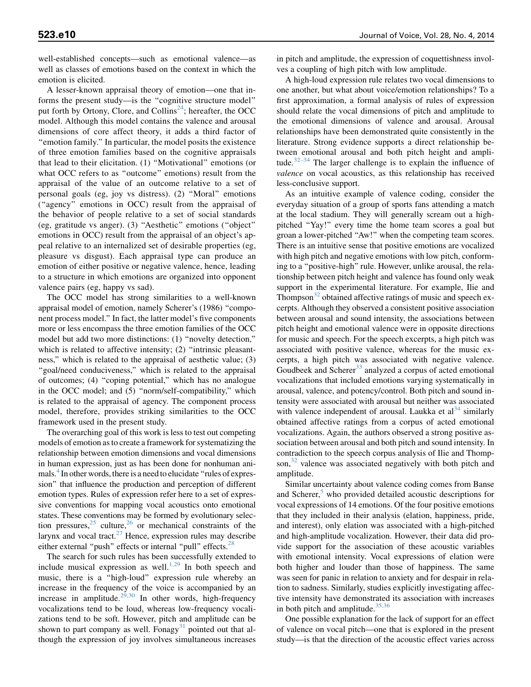well-established concepts—such as emotional valence—as well as classes of emotions based on the context in which the emotion is elicited.

A lesser-known appraisal theory of emotion—one that informs the present study—is the ''cognitive structure model'' put forth by Ortony, Clore, and Collins<sup>24</sup>; hereafter, the OCC model. Although this model contains the valence and arousal dimensions of core affect theory, it adds a third factor of ''emotion family.'' In particular, the model posits the existence of three emotion families based on the cognitive appraisals that lead to their elicitation. (1) ''Motivational'' emotions (or what OCC refers to as ''outcome'' emotions) result from the appraisal of the value of an outcome relative to a set of personal goals (eg, joy vs distress). (2) ''Moral'' emotions (''agency'' emotions in OCC) result from the appraisal of the behavior of people relative to a set of social standards (eg, gratitude vs anger). (3) ''Aesthetic'' emotions (''object'' emotions in OCC) result from the appraisal of an object's appeal relative to an internalized set of desirable properties (eg, pleasure vs disgust). Each appraisal type can produce an emotion of either positive or negative valence, hence, leading to a structure in which emotions are organized into opponent valence pairs (eg, happy vs sad).

The OCC model has strong similarities to a well-known appraisal model of emotion, namely Scherer's (1986) ''component process model.'' In fact, the latter model's five components more or less encompass the three emotion families of the OCC model but add two more distinctions: (1) ''novelty detection,'' which is related to affective intensity; (2) "intrinsic pleasantness," which is related to the appraisal of aesthetic value; (3) "goal/need conduciveness," which is related to the appraisal of outcomes; (4) ''coping potential,'' which has no analogue in the OCC model; and (5) "norm/self-compatibility," which is related to the appraisal of agency. The component process model, therefore, provides striking similarities to the OCC framework used in the present study.

The overarching goal of this work is less to test out competing models of emotion as to create a framework for systematizing the relationship between emotion dimensions and vocal dimensions in human expression, just as has been done for nonhuman animals.<sup>4</sup> In other words, there is a need to elucidate "rules of expression'' that influence the production and perception of different emotion types. Rules of expression refer here to a set of expressive conventions for mapping vocal acoustics onto emotional states. These conventions may be formed by evolutionary selection pressures,  $25$  culture,  $26$  or mechanical constraints of the larynx and vocal tract. $27$  Hence, expression rules may describe either external "push" effects or internal "pull" effects.<sup>28</sup>

The search for such rules has been successfully extended to include musical expression as well.<sup>[1,29](#page-8-0)</sup> In both speech and music, there is a ''high-loud'' expression rule whereby an increase in the frequency of the voice is accompanied by an increase in amplitude.<sup>[29,30](#page-8-0)</sup> In other words, high-frequency vocalizations tend to be loud, whereas low-frequency vocalizations tend to be soft. However, pitch and amplitude can be shown to part company as well. Fonagy<sup>[31](#page-8-0)</sup> pointed out that although the expression of joy involves simultaneous increases in pitch and amplitude, the expression of coquettishness involves a coupling of high pitch with low amplitude.

A high-loud expression rule relates two vocal dimensions to one another, but what about voice/emotion relationships? To a first approximation, a formal analysis of rules of expression should relate the vocal dimensions of pitch and amplitude to the emotional dimensions of valence and arousal. Arousal relationships have been demonstrated quite consistently in the literature. Strong evidence supports a direct relationship between emotional arousal and both pitch height and amplitude. $32-34$  The larger challenge is to explain the influence of valence on vocal acoustics, as this relationship has received less-conclusive support.

As an intuitive example of valence coding, consider the everyday situation of a group of sports fans attending a match at the local stadium. They will generally scream out a highpitched ''Yay!'' every time the home team scores a goal but groan a lower-pitched ''Aw!'' when the competing team scores. There is an intuitive sense that positive emotions are vocalized with high pitch and negative emotions with low pitch, conforming to a ''positive-high'' rule. However, unlike arousal, the relationship between pitch height and valence has found only weak support in the experimental literature. For example, Ilie and Thompson $32$  obtained affective ratings of music and speech excerpts. Although they observed a consistent positive association between arousal and sound intensity, the associations between pitch height and emotional valence were in opposite directions for music and speech. For the speech excerpts, a high pitch was associated with positive valence, whereas for the music excerpts, a high pitch was associated with negative valence. Goudbeek and Scherer<sup>33</sup> analyzed a corpus of acted emotional vocalizations that included emotions varying systematically in arousal, valence, and potency/control. Both pitch and sound intensity were associated with arousal but neither was associated with valence independent of arousal. Laukka et  $al<sup>34</sup>$  $al<sup>34</sup>$  $al<sup>34</sup>$  similarly obtained affective ratings from a corpus of acted emotional vocalizations. Again, the authors observed a strong positive association between arousal and both pitch and sound intensity. In contradiction to the speech corpus analysis of Ilie and Thomp-son,<sup>[32](#page-8-0)</sup> valence was associated negatively with both pitch and amplitude.

Similar uncertainty about valence coding comes from Banse and Scherer,<sup>[5](#page-8-0)</sup> who provided detailed acoustic descriptions for vocal expressions of 14 emotions. Of the four positive emotions that they included in their analysis (elation, happiness, pride, and interest), only elation was associated with a high-pitched and high-amplitude vocalization. However, their data did provide support for the association of these acoustic variables with emotional intensity. Vocal expressions of elation were both higher and louder than those of happiness. The same was seen for panic in relation to anxiety and for despair in relation to sadness. Similarly, studies explicitly investigating affective intensity have demonstrated its association with increases in both pitch and amplitude. $35,36$ 

One possible explanation for the lack of support for an effect of valence on vocal pitch—one that is explored in the present study—is that the direction of the acoustic effect varies across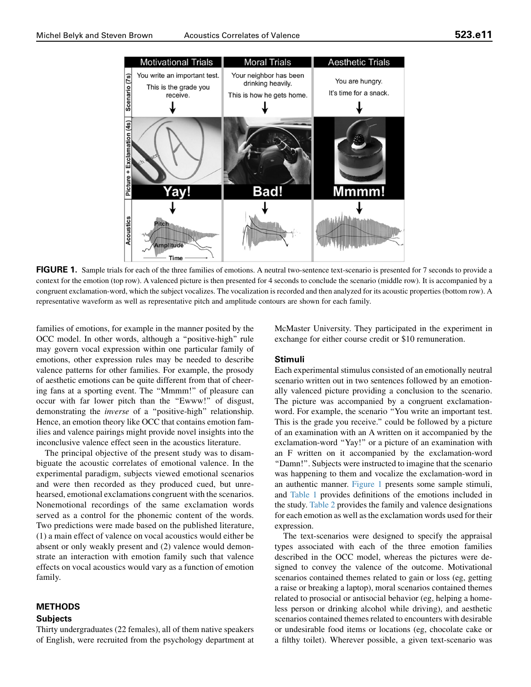<span id="page-2-0"></span>

FIGURE 1. Sample trials for each of the three families of emotions. A neutral two-sentence text-scenario is presented for 7 seconds to provide a context for the emotion (top row). A valenced picture is then presented for 4 seconds to conclude the scenario (middle row). It is accompanied by a congruent exclamation-word, which the subject vocalizes. The vocalization is recorded and then analyzed for its acoustic properties (bottom row). A representative waveform as well as representative pitch and amplitude contours are shown for each family.

families of emotions, for example in the manner posited by the OCC model. In other words, although a ''positive-high'' rule may govern vocal expression within one particular family of emotions, other expression rules may be needed to describe valence patterns for other families. For example, the prosody of aesthetic emotions can be quite different from that of cheering fans at a sporting event. The ''Mmmm!'' of pleasure can occur with far lower pitch than the ''Ewww!'' of disgust, demonstrating the inverse of a ''positive-high'' relationship. Hence, an emotion theory like OCC that contains emotion families and valence pairings might provide novel insights into the inconclusive valence effect seen in the acoustics literature.

The principal objective of the present study was to disambiguate the acoustic correlates of emotional valence. In the experimental paradigm, subjects viewed emotional scenarios and were then recorded as they produced cued, but unrehearsed, emotional exclamations congruent with the scenarios. Nonemotional recordings of the same exclamation words served as a control for the phonemic content of the words. Two predictions were made based on the published literature, (1) a main effect of valence on vocal acoustics would either be absent or only weakly present and (2) valence would demonstrate an interaction with emotion family such that valence effects on vocal acoustics would vary as a function of emotion family.

#### **METHODS**

#### **Subjects**

Thirty undergraduates (22 females), all of them native speakers of English, were recruited from the psychology department at McMaster University. They participated in the experiment in exchange for either course credit or \$10 remuneration.

#### Stimuli

Each experimental stimulus consisted of an emotionally neutral scenario written out in two sentences followed by an emotionally valenced picture providing a conclusion to the scenario. The picture was accompanied by a congruent exclamationword. For example, the scenario ''You write an important test. This is the grade you receive.'' could be followed by a picture of an examination with an A written on it accompanied by the exclamation-word ''Yay!'' or a picture of an examination with an F written on it accompanied by the exclamation-word ''Damn!''. Subjects were instructed to imagine that the scenario was happening to them and vocalize the exclamation-word in an authentic manner. Figure 1 presents some sample stimuli, and [Table 1](#page-3-0) provides definitions of the emotions included in the study. [Table 2](#page-3-0) provides the family and valence designations for each emotion as well as the exclamation words used for their expression.

The text-scenarios were designed to specify the appraisal types associated with each of the three emotion families described in the OCC model, whereas the pictures were designed to convey the valence of the outcome. Motivational scenarios contained themes related to gain or loss (eg, getting a raise or breaking a laptop), moral scenarios contained themes related to prosocial or antisocial behavior (eg, helping a homeless person or drinking alcohol while driving), and aesthetic scenarios contained themes related to encounters with desirable or undesirable food items or locations (eg, chocolate cake or a filthy toilet). Wherever possible, a given text-scenario was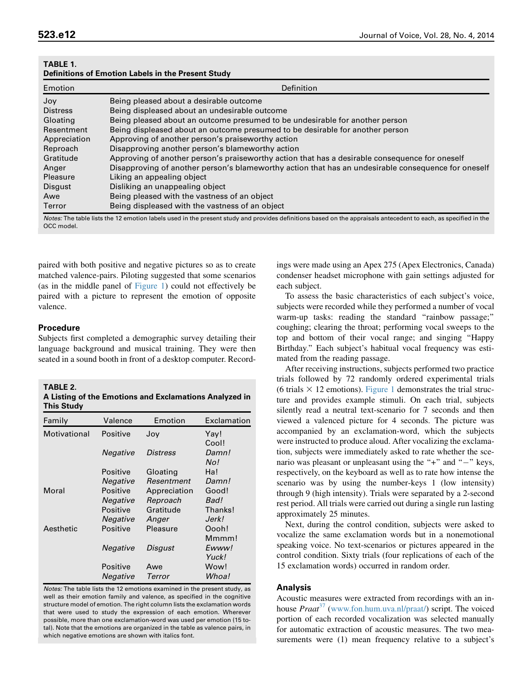<span id="page-3-0"></span>

| <b>TABLE 1.</b>                                    |  |
|----------------------------------------------------|--|
| Definitions of Emotion Labels in the Present Study |  |

| Emotion         | Definition                                                                                          |
|-----------------|-----------------------------------------------------------------------------------------------------|
| Joy             | Being pleased about a desirable outcome                                                             |
| <b>Distress</b> | Being displeased about an undesirable outcome                                                       |
| Gloating        | Being pleased about an outcome presumed to be undesirable for another person                        |
| Resentment      | Being displeased about an outcome presumed to be desirable for another person                       |
| Appreciation    | Approving of another person's praiseworthy action                                                   |
| Reproach        | Disapproving another person's blameworthy action                                                    |
| Gratitude       | Approving of another person's praiseworthy action that has a desirable consequence for oneself      |
| Anger           | Disapproving of another person's blameworthy action that has an undesirable consequence for oneself |
| Pleasure        | Liking an appealing object                                                                          |
| <b>Disgust</b>  | Disliking an unappealing object                                                                     |
| Awe             | Being pleased with the vastness of an object                                                        |
| Terror          | Being displeased with the vastness of an object                                                     |

Notes: The table lists the 12 emotion labels used in the present study and provides definitions based on the appraisals antecedent to each, as specified in the OCC model.

paired with both positive and negative pictures so as to create matched valence-pairs. Piloting suggested that some scenarios (as in the middle panel of [Figure 1](#page-2-0)) could not effectively be paired with a picture to represent the emotion of opposite valence.

## Procedure

Subjects first completed a demographic survey detailing their language background and musical training. They were then seated in a sound booth in front of a desktop computer. Record-

## TABLE 2.

| A Listing of the Emotions and Exclamations Analyzed in |  |
|--------------------------------------------------------|--|
| <b>This Study</b>                                      |  |

| Family       | Valence         | Emotion      | Exclamation |
|--------------|-----------------|--------------|-------------|
| Motivational | Positive        | Joy          | Yay!        |
|              |                 |              | Cool!       |
|              | Negative        | Distress     | Damn!       |
|              |                 |              | No!         |
|              | Positive        | Gloating     | Ha!         |
|              | <b>Negative</b> | Resentment   | Damn!       |
| Moral        | Positive        | Appreciation | Good!       |
|              | <b>Negative</b> | Reproach     | Bad!        |
|              | Positive        | Gratitude    | Thanks!     |
|              | <b>Negative</b> | Anger        | Jerk!       |
| Aesthetic    | Positive        | Pleasure     | Oooh!       |
|              |                 |              | Mmmm!       |
|              | Negative        | Disgust      | Ewww!       |
|              |                 |              | Yuck!       |
|              | Positive        | Awe          | Wow!        |
|              | <b>Negative</b> | Terror       | Whoa!       |

Notes: The table lists the 12 emotions examined in the present study, as well as their emotion family and valence, as specified in the cognitive structure model of emotion. The right column lists the exclamation words that were used to study the expression of each emotion. Wherever possible, more than one exclamation-word was used per emotion (15 total). Note that the emotions are organized in the table as valence pairs, in which negative emotions are shown with italics font.

ings were made using an Apex 275 (Apex Electronics, Canada) condenser headset microphone with gain settings adjusted for each subject.

To assess the basic characteristics of each subject's voice, subjects were recorded while they performed a number of vocal warm-up tasks: reading the standard "rainbow passage;" coughing; clearing the throat; performing vocal sweeps to the top and bottom of their vocal range; and singing ''Happy Birthday.'' Each subject's habitual vocal frequency was estimated from the reading passage.

After receiving instructions, subjects performed two practice trials followed by 72 randomly ordered experimental trials (6 trials  $\times$  12 emotions). [Figure 1](#page-2-0) demonstrates the trial structure and provides example stimuli. On each trial, subjects silently read a neutral text-scenario for 7 seconds and then viewed a valenced picture for 4 seconds. The picture was accompanied by an exclamation-word, which the subjects were instructed to produce aloud. After vocalizing the exclamation, subjects were immediately asked to rate whether the scenario was pleasant or unpleasant using the "+" and " $-$ " keys, respectively, on the keyboard as well as to rate how intense the scenario was by using the number-keys 1 (low intensity) through 9 (high intensity). Trials were separated by a 2-second rest period. All trials were carried out during a single run lasting approximately 25 minutes.

Next, during the control condition, subjects were asked to vocalize the same exclamation words but in a nonemotional speaking voice. No text-scenarios or pictures appeared in the control condition. Sixty trials (four replications of each of the 15 exclamation words) occurred in random order.

## Analysis

Acoustic measures were extracted from recordings with an inhouse  $Praat^{37}$  $Praat^{37}$  $Praat^{37}$  ([www.fon.hum.uva.nl/praat/](http://www.fon.hum.uva.nl/praat/)) script. The voiced portion of each recorded vocalization was selected manually for automatic extraction of acoustic measures. The two measurements were (1) mean frequency relative to a subject's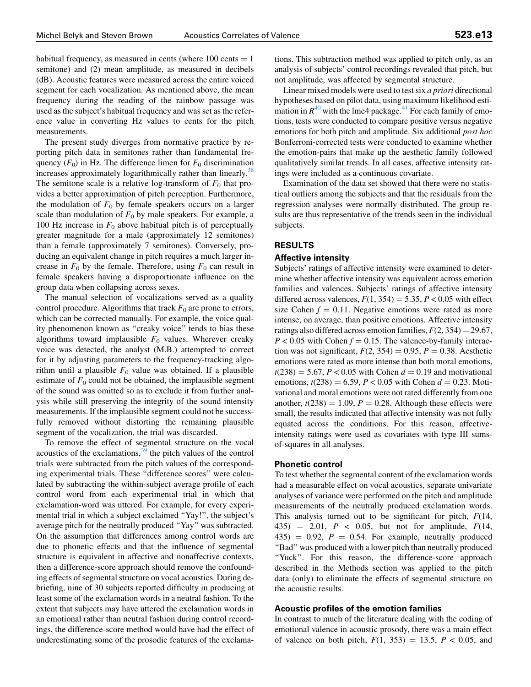habitual frequency, as measured in cents (where  $100 \text{ cents} = 1$ ) semitone) and (2) mean amplitude, as measured in decibels (dB). Acoustic features were measured across the entire voiced segment for each vocalization. As mentioned above, the mean frequency during the reading of the rainbow passage was used as the subject's habitual frequency and was set as the reference value in converting Hz values to cents for the pitch measurements.

The present study diverges from normative practice by reporting pitch data in semitones rather than fundamental frequency  $(F_0)$  in Hz. The difference limen for  $F_0$  discrimination increases approximately logarithmically rather than linearly.<sup>[38](#page-8-0)</sup> The semitone scale is a relative log-transform of  $F_0$  that provides a better approximation of pitch perception. Furthermore, the modulation of  $F_0$  by female speakers occurs on a larger scale than modulation of  $F_0$  by male speakers. For example, a 100 Hz increase in  $F_0$  above habitual pitch is of perceptually greater magnitude for a male (approximately 12 semitones) than a female (approximately 7 semitones). Conversely, producing an equivalent change in pitch requires a much larger increase in  $F_0$  by the female. Therefore, using  $F_0$  can result in female speakers having a disproportionate influence on the group data when collapsing across sexes.

The manual selection of vocalizations served as a quality control procedure. Algorithms that track  $F_0$  are prone to errors, which can be corrected manually. For example, the voice quality phenomenon known as ''creaky voice'' tends to bias these algorithms toward implausible  $F_0$  values. Wherever creaky voice was detected, the analyst (M.B.) attempted to correct for it by adjusting parameters to the frequency-tracking algorithm until a plausible  $F_0$  value was obtained. If a plausible estimate of  $F_0$  could not be obtained, the implausible segment of the sound was omitted so as to exclude it from further analysis while still preserving the integrity of the sound intensity measurements. If the implausible segment could not be successfully removed without distorting the remaining plausible segment of the vocalization, the trial was discarded.

To remove the effect of segmental structure on the vocal acoustics of the exclamations, $39$  the pitch values of the control trials were subtracted from the pitch values of the corresponding experimental trials. These "difference scores" were calculated by subtracting the within-subject average profile of each control word from each experimental trial in which that exclamation-word was uttered. For example, for every experimental trial in which a subject exclaimed ''Yay!'', the subject's average pitch for the neutrally produced ''Yay'' was subtracted. On the assumption that differences among control words are due to phonetic effects and that the influence of segmental structure is equivalent in affective and nonaffective contexts, then a difference-score approach should remove the confounding effects of segmental structure on vocal acoustics. During debriefing, nine of 30 subjects reported difficulty in producing at least some of the exclamation words in a neutral fashion. To the extent that subjects may have uttered the exclamation words in an emotional rather than neutral fashion during control recordings, the difference-score method would have had the effect of underestimating some of the prosodic features of the exclamations. This subtraction method was applied to pitch only, as an analysis of subjects' control recordings revealed that pitch, but not amplitude, was affected by segmental structure.

Linear mixed models were used to test six a priori directional hypotheses based on pilot data, using maximum likelihood estimation in  $R^{40}$  $R^{40}$  $R^{40}$  with the lme4 package.<sup>[41](#page-8-0)</sup> For each family of emotions, tests were conducted to compare positive versus negative emotions for both pitch and amplitude. Six additional *post hoc* Bonferroni-corrected tests were conducted to examine whether the emotion-pairs that make up the aesthetic family followed qualitatively similar trends. In all cases, affective intensity ratings were included as a continuous covariate.

Examination of the data set showed that there were no statistical outliers among the subjects and that the residuals from the regression analyses were normally distributed. The group results are thus representative of the trends seen in the individual subjects.

# RESULTS

#### Affective intensity

Subjects' ratings of affective intensity were examined to determine whether affective intensity was equivalent across emotion families and valences. Subjects' ratings of affective intensity differed across valences,  $F(1, 354) = 5.35$ ,  $P < 0.05$  with effect size Cohen  $f = 0.11$ . Negative emotions were rated as more intense, on average, than positive emotions. Affective intensity ratings also differed across emotion families,  $F(2, 354) = 29.67$ ,  $P < 0.05$  with Cohen  $f = 0.15$ . The valence-by-family interaction was not significant,  $F(2, 354) = 0.95$ ,  $P = 0.38$ . Aesthetic emotions were rated as more intense than both moral emotions,  $t(238) = 5.67, P < 0.05$  with Cohen  $d = 0.19$  and motivational emotions,  $t(238) = 6.59$ ,  $P < 0.05$  with Cohen  $d = 0.23$ . Motivational and moral emotions were not rated differently from one another,  $t(238) = 1.09$ ,  $P = 0.28$ . Although these effects were small, the results indicated that affective intensity was not fully equated across the conditions. For this reason, affectiveintensity ratings were used as covariates with type III sumsof-squares in all analyses.

#### Phonetic control

To test whether the segmental content of the exclamation words had a measurable effect on vocal acoustics, separate univariate analyses of variance were performed on the pitch and amplitude measurements of the neutrally produced exclamation words. This analysis turned out to be significant for pitch,  $F(14, 14)$ 435) = 2.01,  $P$  < 0.05, but not for amplitude,  $F(14, 12)$  $(435) = 0.92$ ,  $P = 0.54$ . For example, neutrally produced "Bad" was produced with a lower pitch than neutrally produced "Yuck". For this reason, the difference-score approach described in the Methods section was applied to the pitch data (only) to eliminate the effects of segmental structure on the acoustic results.

#### Acoustic profiles of the emotion families

In contrast to much of the literature dealing with the coding of emotional valence in acoustic prosody, there was a main effect of valence on both pitch,  $F(1, 353) = 13.5$ ,  $P < 0.05$ , and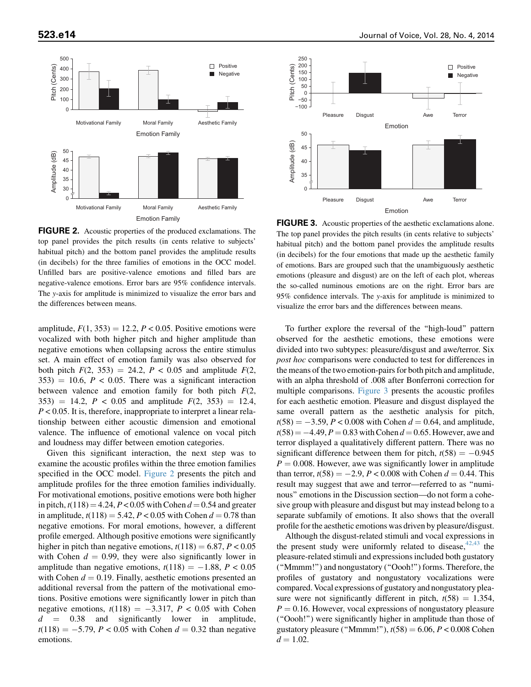

FIGURE 2. Acoustic properties of the produced exclamations. The top panel provides the pitch results (in cents relative to subjects' habitual pitch) and the bottom panel provides the amplitude results (in decibels) for the three families of emotions in the OCC model. Unfilled bars are positive-valence emotions and filled bars are negative-valence emotions. Error bars are 95% confidence intervals. The y-axis for amplitude is minimized to visualize the error bars and the differences between means.

amplitude,  $F(1, 353) = 12.2, P < 0.05$ . Positive emotions were vocalized with both higher pitch and higher amplitude than negative emotions when collapsing across the entire stimulus set. A main effect of emotion family was also observed for both pitch  $F(2, 353) = 24.2, P < 0.05$  and amplitude  $F(2, 353) = 24.2, P < 0.05$  $353$ ) = 10.6, P < 0.05. There was a significant interaction between valence and emotion family for both pitch  $F(2)$ ,  $353) = 14.2, P < 0.05$  and amplitude  $F(2, 353) = 12.4$ ,  $P < 0.05$ . It is, therefore, inappropriate to interpret a linear relationship between either acoustic dimension and emotional valence. The influence of emotional valence on vocal pitch and loudness may differ between emotion categories.

Given this significant interaction, the next step was to examine the acoustic profiles within the three emotion families specified in the OCC model. Figure 2 presents the pitch and amplitude profiles for the three emotion families individually. For motivational emotions, positive emotions were both higher in pitch,  $t(118) = 4.24$ ,  $P < 0.05$  with Cohen  $d = 0.54$  and greater in amplitude,  $t(118) = 5.42$ ,  $P < 0.05$  with Cohen  $d = 0.78$  than negative emotions. For moral emotions, however, a different profile emerged. Although positive emotions were significantly higher in pitch than negative emotions,  $t(118) = 6.87, P < 0.05$ with Cohen  $d = 0.99$ , they were also significantly lower in amplitude than negative emotions,  $t(118) = -1.88$ ,  $P < 0.05$ with Cohen  $d = 0.19$ . Finally, aesthetic emotions presented an additional reversal from the pattern of the motivational emotions. Positive emotions were significantly lower in pitch than negative emotions,  $t(118) = -3.317$ ,  $P < 0.05$  with Cohen  $d = 0.38$  and significantly lower in amplitude,  $t(118) = -5.79$ ,  $P < 0.05$  with Cohen  $d = 0.32$  than negative emotions.



FIGURE 3. Acoustic properties of the aesthetic exclamations alone. The top panel provides the pitch results (in cents relative to subjects' habitual pitch) and the bottom panel provides the amplitude results (in decibels) for the four emotions that made up the aesthetic family of emotions. Bars are grouped such that the unambiguously aesthetic emotions (pleasure and disgust) are on the left of each plot, whereas the so-called numinous emotions are on the right. Error bars are 95% confidence intervals. The y-axis for amplitude is minimized to visualize the error bars and the differences between means.

To further explore the reversal of the ''high-loud'' pattern observed for the aesthetic emotions, these emotions were divided into two subtypes: pleasure/disgust and awe/terror. Six post hoc comparisons were conducted to test for differences in the means of the two emotion-pairs for both pitch and amplitude, with an alpha threshold of .008 after Bonferroni correction for multiple comparisons. Figure 3 presents the acoustic profiles for each aesthetic emotion. Pleasure and disgust displayed the same overall pattern as the aesthetic analysis for pitch,  $t(58) = -3.59, P < 0.008$  with Cohen  $d = 0.64$ , and amplitude,  $t(58) = -4.49, P = 0.83$  with Cohen  $d = 0.65$ . However, awe and terror displayed a qualitatively different pattern. There was no significant difference between them for pitch,  $t(58) = -0.945$  $P = 0.008$ . However, awe was significantly lower in amplitude than terror,  $t(58) = -2.9$ ,  $P < 0.008$  with Cohen  $d = 0.44$ . This result may suggest that awe and terror—referred to as ''numinous'' emotions in the Discussion section—do not form a cohesive group with pleasure and disgust but may instead belong to a separate subfamily of emotions. It also shows that the overall profile for the aesthetic emotions was driven by pleasure/disgust.

Although the disgust-related stimuli and vocal expressions in the present study were uniformly related to disease,  $42,43$  the pleasure-related stimuli and expressions included both gustatory (''Mmmm!'') and nongustatory (''Oooh!'') forms. Therefore, the profiles of gustatory and nongustatory vocalizations were compared. Vocal expressions of gustatory and nongustatory pleasure were not significantly different in pitch,  $t(58) = 1.354$ ,  $P = 0.16$ . However, vocal expressions of nongustatory pleasure (''Oooh!'') were significantly higher in amplitude than those of gustatory pleasure ("Mmmm!"),  $t(58) = 6.06$ ,  $P < 0.008$  Cohen  $d = 1.02$ .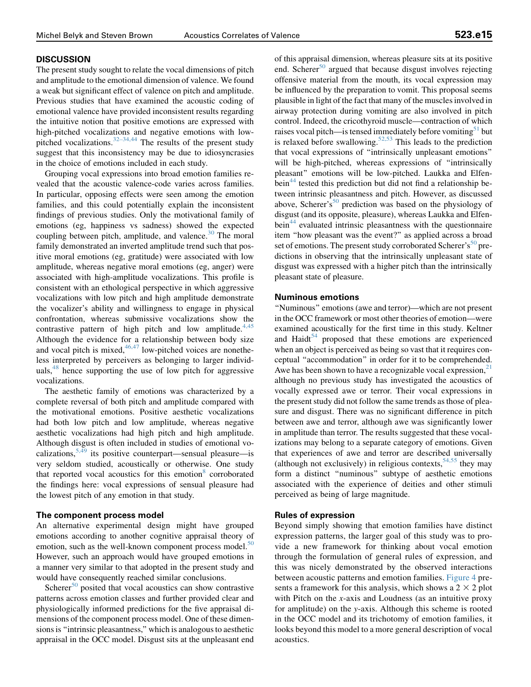## **DISCUSSION**

The present study sought to relate the vocal dimensions of pitch and amplitude to the emotional dimension of valence. We found a weak but significant effect of valence on pitch and amplitude. Previous studies that have examined the acoustic coding of emotional valence have provided inconsistent results regarding the intuitive notion that positive emotions are expressed with high-pitched vocalizations and negative emotions with lowpitched vocalizations. $32-34,44$  The results of the present study suggest that this inconsistency may be due to idiosyncrasies in the choice of emotions included in each study.

Grouping vocal expressions into broad emotion families revealed that the acoustic valence-code varies across families. In particular, opposing effects were seen among the emotion families, and this could potentially explain the inconsistent findings of previous studies. Only the motivational family of emotions (eg, happiness vs sadness) showed the expected coupling between pitch, amplitude, and valence.<sup>[30](#page-8-0)</sup> The moral family demonstrated an inverted amplitude trend such that positive moral emotions (eg, gratitude) were associated with low amplitude, whereas negative moral emotions (eg, anger) were associated with high-amplitude vocalizations. This profile is consistent with an ethological perspective in which aggressive vocalizations with low pitch and high amplitude demonstrate the vocalizer's ability and willingness to engage in physical confrontation, whereas submissive vocalizations show the contrastive pattern of high pitch and low amplitude.<sup>[4,45](#page-8-0)</sup> Although the evidence for a relationship between body size and vocal pitch is mixed, $46,47$  low-pitched voices are nonetheless interpreted by perceivers as belonging to larger individuals, $48$  hence supporting the use of low pitch for aggressive vocalizations.

The aesthetic family of emotions was characterized by a complete reversal of both pitch and amplitude compared with the motivational emotions. Positive aesthetic vocalizations had both low pitch and low amplitude, whereas negative aesthetic vocalizations had high pitch and high amplitude. Although disgust is often included in studies of emotional vocalizations,  $5,49$  its positive counterpart—sensual pleasure—is very seldom studied, acoustically or otherwise. One study that reported vocal acoustics for this emotion $8$  corroborated the findings here: vocal expressions of sensual pleasure had the lowest pitch of any emotion in that study.

## The component process model

An alternative experimental design might have grouped emotions according to another cognitive appraisal theory of emotion, such as the well-known component process model. $50$ However, such an approach would have grouped emotions in a manner very similar to that adopted in the present study and would have consequently reached similar conclusions.

Scherer $50$  posited that vocal acoustics can show contrastive patterns across emotion classes and further provided clear and physiologically informed predictions for the five appraisal dimensions of the component process model. One of these dimensions is ''intrinsic pleasantness,'' which is analogous to aesthetic appraisal in the OCC model. Disgust sits at the unpleasant end of this appraisal dimension, whereas pleasure sits at its positive end. Scherer $50$  argued that because disgust involves rejecting offensive material from the mouth, its vocal expression may be influenced by the preparation to vomit. This proposal seems plausible in light of the fact that many of the muscles involved in airway protection during vomiting are also involved in pitch control. Indeed, the cricothyroid muscle—contraction of which raises vocal pitch—is tensed immediately before vomiting<sup>[51](#page-9-0)</sup> but is relaxed before swallowing. $52,53$  This leads to the prediction that vocal expressions of ''intrinsically unpleasant emotions'' will be high-pitched, whereas expressions of ''intrinsically pleasant'' emotions will be low-pitched. Laukka and Elfen-bein<sup>[44](#page-9-0)</sup> tested this prediction but did not find a relationship between intrinsic pleasantness and pitch. However, as discussed above, Scherer's<sup>[50](#page-9-0)</sup> prediction was based on the physiology of disgust (and its opposite, pleasure), whereas Laukka and Elfen- $bein<sup>44</sup>$  $bein<sup>44</sup>$  $bein<sup>44</sup>$  evaluated intrinsic pleasantness with the questionnaire item ''how pleasant was the event?'' as applied across a broad set of emotions. The present study corroborated Scherer's<sup>[50](#page-9-0)</sup> predictions in observing that the intrinsically unpleasant state of disgust was expressed with a higher pitch than the intrinsically pleasant state of pleasure.

#### Numinous emotions

''Numinous'' emotions (awe and terror)—which are not present in the OCC framework or most other theories of emotion—were examined acoustically for the first time in this study. Keltner and Haidt $54$  proposed that these emotions are experienced when an object is perceived as being so vast that it requires conceptual ''accommodation'' in order for it to be comprehended. Awe has been shown to have a recognizable vocal expression, $^{21}$  $^{21}$  $^{21}$ although no previous study has investigated the acoustics of vocally expressed awe or terror. Their vocal expressions in the present study did not follow the same trends as those of pleasure and disgust. There was no significant difference in pitch between awe and terror, although awe was significantly lower in amplitude than terror. The results suggested that these vocalizations may belong to a separate category of emotions. Given that experiences of awe and terror are described universally (although not exclusively) in religious contexts,  $54,55$  they may form a distinct ''numinous'' subtype of aesthetic emotions associated with the experience of deities and other stimuli perceived as being of large magnitude.

#### Rules of expression

Beyond simply showing that emotion families have distinct expression patterns, the larger goal of this study was to provide a new framework for thinking about vocal emotion through the formulation of general rules of expression, and this was nicely demonstrated by the observed interactions between acoustic patterns and emotion families. [Figure 4](#page-7-0) presents a framework for this analysis, which shows a  $2 \times 2$  plot with Pitch on the  $x$ -axis and Loudness (as an intuitive proxy for amplitude) on the y-axis. Although this scheme is rooted in the OCC model and its trichotomy of emotion families, it looks beyond this model to a more general description of vocal acoustics.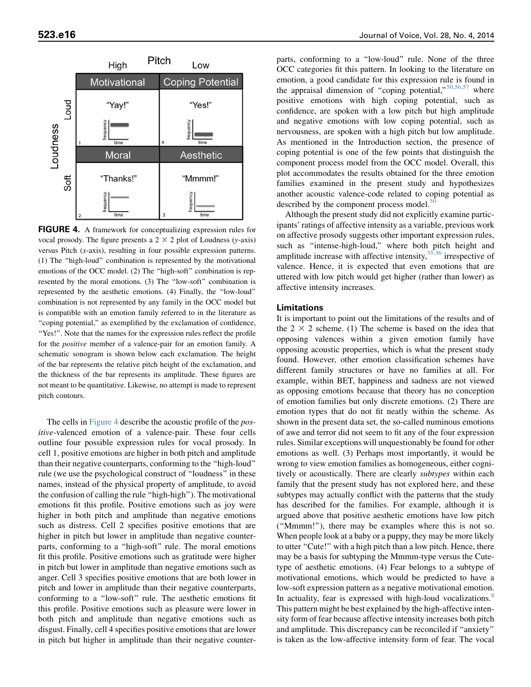<span id="page-7-0"></span>

FIGURE 4. A framework for conceptualizing expression rules for vocal prosody. The figure presents a  $2 \times 2$  plot of Loudness (y-axis) versus Pitch (x-axis), resulting in four possible expression patterns. (1) The ''high-loud'' combination is represented by the motivational emotions of the OCC model. (2) The "high-soft" combination is represented by the moral emotions. (3) The ''low-soft'' combination is represented by the aesthetic emotions. (4) Finally, the ''low-loud'' combination is not represented by any family in the OCC model but is compatible with an emotion family referred to in the literature as "coping potential," as exemplified by the exclamation of confidence, "Yes!". Note that the names for the expression rules reflect the profile for the positive member of a valence-pair for an emotion family. A schematic sonogram is shown below each exclamation. The height of the bar represents the relative pitch height of the exclamation, and the thickness of the bar represents its amplitude. These figures are not meant to be quantitative. Likewise, no attempt is made to represent pitch contours.

The cells in Figure 4 describe the acoustic profile of the *pos*itive-valenced emotion of a valence-pair. These four cells outline four possible expression rules for vocal prosody. In cell 1, positive emotions are higher in both pitch and amplitude than their negative counterparts, conforming to the ''high-loud'' rule (we use the psychological construct of ''loudness'' in these names, instead of the physical property of amplitude, to avoid the confusion of calling the rule ''high-high''). The motivational emotions fit this profile. Positive emotions such as joy were higher in both pitch and amplitude than negative emotions such as distress. Cell 2 specifies positive emotions that are higher in pitch but lower in amplitude than negative counterparts, conforming to a ''high-soft'' rule. The moral emotions fit this profile. Positive emotions such as gratitude were higher in pitch but lower in amplitude than negative emotions such as anger. Cell 3 specifies positive emotions that are both lower in pitch and lower in amplitude than their negative counterparts, conforming to a ''low-soft'' rule. The aesthetic emotions fit this profile. Positive emotions such as pleasure were lower in both pitch and amplitude than negative emotions such as disgust. Finally, cell 4 specifies positive emotions that are lower in pitch but higher in amplitude than their negative counterparts, conforming to a ''low-loud'' rule. None of the three OCC categories fit this pattern. In looking to the literature on emotion, a good candidate for this expression rule is found in the appraisal dimension of "coping potential," $50,56,57$  where positive emotions with high coping potential, such as confidence, are spoken with a low pitch but high amplitude and negative emotions with low coping potential, such as nervousness, are spoken with a high pitch but low amplitude. As mentioned in the Introduction section, the presence of coping potential is one of the few points that distinguish the component process model from the OCC model. Overall, this plot accommodates the results obtained for the three emotion families examined in the present study and hypothesizes another acoustic valence-code related to coping potential as described by the component process model. $50$ 

Although the present study did not explicitly examine participants' ratings of affective intensity as a variable, previous work on affective prosody suggests other important expression rules, such as "intense-high-loud," where both pitch height and amplitude increase with affective intensity,  $35,36$  irrespective of valence. Hence, it is expected that even emotions that are uttered with low pitch would get higher (rather than lower) as affective intensity increases.

#### Limitations

It is important to point out the limitations of the results and of the  $2 \times 2$  scheme. (1) The scheme is based on the idea that opposing valences within a given emotion family have opposing acoustic properties, which is what the present study found. However, other emotion classification schemes have different family structures or have no families at all. For example, within BET, happiness and sadness are not viewed as opposing emotions because that theory has no conception of emotion families but only discrete emotions. (2) There are emotion types that do not fit neatly within the scheme. As shown in the present data set, the so-called numinous emotions of awe and terror did not seem to fit any of the four expression rules. Similar exceptions will unquestionably be found for other emotions as well. (3) Perhaps most importantly, it would be wrong to view emotion families as homogeneous, either cognitively or acoustically. There are clearly subtypes within each family that the present study has not explored here, and these subtypes may actually conflict with the patterns that the study has described for the families. For example, although it is argued above that positive aesthetic emotions have low pitch (''Mmmm!''), there may be examples where this is not so. When people look at a baby or a puppy, they may be more likely to utter "Cute!" with a high pitch than a low pitch. Hence, there may be a basis for subtyping the Mmmm-type versus the Cutetype of aesthetic emotions. (4) Fear belongs to a subtype of motivational emotions, which would be predicted to have a low-soft expression pattern as a negative motivational emotion. In actuality, fear is expressed with high-loud vocalizations.<sup>[8](#page-8-0)</sup> This pattern might be best explained by the high-affective intensity form of fear because affective intensity increases both pitch and amplitude. This discrepancy can be reconciled if ''anxiety'' is taken as the low-affective intensity form of fear. The vocal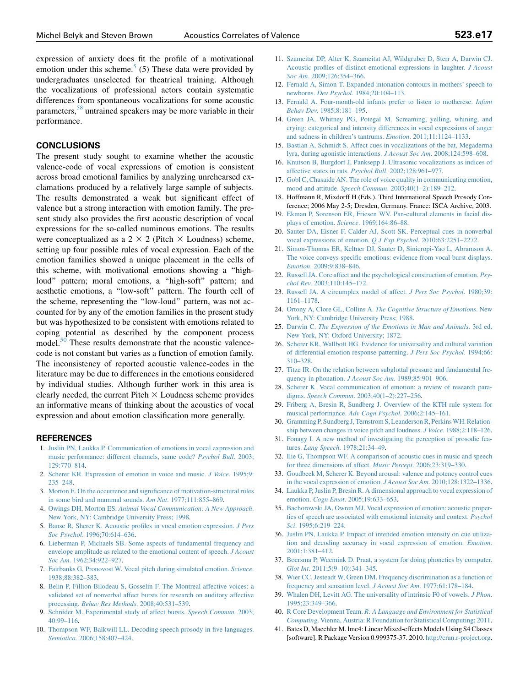<span id="page-8-0"></span>expression of anxiety does fit the profile of a motivational emotion under this scheme.<sup>5</sup> (5) These data were provided by undergraduates unselected for theatrical training. Although the vocalizations of professional actors contain systematic differences from spontaneous vocalizations for some acoustic parameters,<sup>[58](#page-9-0)</sup> untrained speakers may be more variable in their performance.

#### **CONCLUSIONS**

The present study sought to examine whether the acoustic valence-code of vocal expressions of emotion is consistent across broad emotional families by analyzing unrehearsed exclamations produced by a relatively large sample of subjects. The results demonstrated a weak but significant effect of valence but a strong interaction with emotion family. The present study also provides the first acoustic description of vocal expressions for the so-called numinous emotions. The results were conceptualized as a  $2 \times 2$  (Pitch  $\times$  Loudness) scheme, setting up four possible rules of vocal expression. Each of the emotion families showed a unique placement in the cells of this scheme, with motivational emotions showing a ''highloud'' pattern; moral emotions, a ''high-soft'' pattern; and aesthetic emotions, a ''low-soft'' pattern. The fourth cell of the scheme, representing the ''low-loud'' pattern, was not accounted for by any of the emotion families in the present study but was hypothesized to be consistent with emotions related to coping potential as described by the component process model.<sup>50</sup> These results demonstrate that the acoustic valencecode is not constant but varies as a function of emotion family. The inconsistency of reported acoustic valence-codes in the literature may be due to differences in the emotions considered by individual studies. Although further work in this area is clearly needed, the current Pitch  $\times$  Loudness scheme provides an informative means of thinking about the acoustics of vocal expression and about emotion classification more generally.

#### **REFERENCES**

- 1. [Juslin PN, Laukka P. Communication of emotions in vocal expression and](http://refhub.elsevier.com/S0892-1997(13)00254-3/sref1) [music performance: different channels, same code?](http://refhub.elsevier.com/S0892-1997(13)00254-3/sref1) Psychol Bull. 2003; [129:770–814.](http://refhub.elsevier.com/S0892-1997(13)00254-3/sref1)
- 2. [Scherer KR. Expression of emotion in voice and music.](http://refhub.elsevier.com/S0892-1997(13)00254-3/sref2) J Voice. 1995;9: [235–248.](http://refhub.elsevier.com/S0892-1997(13)00254-3/sref2)
- 3. [Morton E. On the occurrence and significance of motivation-structural rules](http://refhub.elsevier.com/S0892-1997(13)00254-3/sref3) [in some bird and mammal sounds.](http://refhub.elsevier.com/S0892-1997(13)00254-3/sref3) Am Nat. 1977;111:855–869.
- 4. Owings DH, Morton ES. [Animal Vocal Communication: A New Approach](http://refhub.elsevier.com/S0892-1997(13)00254-3/sref4). [New York, NY: Cambridge University Press; 1998](http://refhub.elsevier.com/S0892-1997(13)00254-3/sref4).
- 5. [Banse R, Sherer K. Acoustic profiles in vocal emotion expression.](http://refhub.elsevier.com/S0892-1997(13)00254-3/sref5) J Pers Soc Psychol[. 1996;70:614–636](http://refhub.elsevier.com/S0892-1997(13)00254-3/sref5).
- 6. [Lieberman P, Michaels SB. Some aspects of fundamental frequency and](http://refhub.elsevier.com/S0892-1997(13)00254-3/sref6) [envelope amplitude as related to the emotional content of speech.](http://refhub.elsevier.com/S0892-1997(13)00254-3/sref6) J Acoust Soc Am[. 1962;34:922–927](http://refhub.elsevier.com/S0892-1997(13)00254-3/sref6).
- 7. [Fairbanks G, Pronovost W. Vocal pitch during simulated emotion.](http://refhub.elsevier.com/S0892-1997(13)00254-3/sref7) Science. [1938;88:382–383.](http://refhub.elsevier.com/S0892-1997(13)00254-3/sref7)
- 8. [Belin P, Fillion-Bilodeau S, Gosselin F. The Montreal affective voices: a](http://refhub.elsevier.com/S0892-1997(13)00254-3/sref8) [validated set of nonverbal affect bursts for research on auditory affective](http://refhub.elsevier.com/S0892-1997(13)00254-3/sref8) processing. [Behav Res Methods](http://refhub.elsevier.com/S0892-1997(13)00254-3/sref8). 2008;40:531–539.
- 9. [Schr](http://refhub.elsevier.com/S0892-1997(13)00254-3/sref9)öder M. Experimental study of affect bursts. Speech Commun. 2003; [40:99–116.](http://refhub.elsevier.com/S0892-1997(13)00254-3/sref9)
- 10. [Thompson WF, Balkwill LL. Decoding speech prosody in five languages.](http://refhub.elsevier.com/S0892-1997(13)00254-3/sref10) Semiotica[. 2006;158:407–424.](http://refhub.elsevier.com/S0892-1997(13)00254-3/sref10)
- 11. [Szameitat DP, Alter K, Szameitat AJ, Wildgruber D, Sterr A, Darwin CJ.](http://refhub.elsevier.com/S0892-1997(13)00254-3/sref11) [Acoustic profiles of distinct emotional expressions in laughter.](http://refhub.elsevier.com/S0892-1997(13)00254-3/sref11) J Acoust Soc Am. 2009;126:354-366.
- 12. [Fernald A, Simon T. Expanded intonation contours in mothers' speech to](http://refhub.elsevier.com/S0892-1997(13)00254-3/sref12) newborns. Dev Psychol[. 1984;20:104–113](http://refhub.elsevier.com/S0892-1997(13)00254-3/sref12).
- 13. [Fernald A. Four-month-old infants prefer to listen to motherese.](http://refhub.elsevier.com/S0892-1997(13)00254-3/sref13) Infant Behav Dev[. 1985;8:181–195.](http://refhub.elsevier.com/S0892-1997(13)00254-3/sref13)
- 14. [Green JA, Whitney PG, Potegal M. Screaming, yelling, whining, and](http://refhub.elsevier.com/S0892-1997(13)00254-3/sref14) [crying: categorical and intensity differences in vocal expressions of anger](http://refhub.elsevier.com/S0892-1997(13)00254-3/sref14) [and sadness in children's tantrums.](http://refhub.elsevier.com/S0892-1997(13)00254-3/sref14) Emotion. 2011;11:1124–1133.
- 15. [Bastian A, Schmidt S. Affect cues in vocalizations of the bat, Megaderma](http://refhub.elsevier.com/S0892-1997(13)00254-3/sref15) [lyra, during agonistic interactions.](http://refhub.elsevier.com/S0892-1997(13)00254-3/sref15) J Acoust Soc Am. 2008;124:598–608.
- 16. [Knutson B, Burgdorf J, Panksepp J. Ultrasonic vocalizations as indices of](http://refhub.elsevier.com/S0892-1997(13)00254-3/sref16) [affective states in rats.](http://refhub.elsevier.com/S0892-1997(13)00254-3/sref16) Psychol Bull. 2002;128:961–977.
- 17. Gobl C, [Chasaide AN. The role of voice quality in communicating emotion,](http://refhub.elsevier.com/S0892-1997(13)00254-3/sref17) mood and attitude. Speech Commun[. 2003;40\(1–2\):189–212](http://refhub.elsevier.com/S0892-1997(13)00254-3/sref17).
- 18. Hoffmann R, Mixdorff H (Eds.). Third International Speech Prosody Conference; 2006 May 2-5; Dresden, Germany. France: ISCA Archive, 2003.
- 19. [Ekman P, Sorenson ER, Friesen WV. Pan-cultural elements in facial dis](http://refhub.elsevier.com/S0892-1997(13)00254-3/sref19)plays of emotion. Science[. 1969;164:86–88.](http://refhub.elsevier.com/S0892-1997(13)00254-3/sref19)
- 20. [Sauter DA, Eisner F, Calder AJ, Scott SK. Perceptual cues in nonverbal](http://refhub.elsevier.com/S0892-1997(13)00254-3/sref20) [vocal expressions of emotion.](http://refhub.elsevier.com/S0892-1997(13)00254-3/sref20) Q J Exp Psychol. 2010;63:2251–2272.
- 21. [Simon-Thomas ER, Keltner DJ, Sauter D, Sinicropi-Yao L, Abramson A.](http://refhub.elsevier.com/S0892-1997(13)00254-3/sref21) [The voice conveys specific emotions: evidence from vocal burst displays.](http://refhub.elsevier.com/S0892-1997(13)00254-3/sref21) Emotion[. 2009;9:838–846](http://refhub.elsevier.com/S0892-1997(13)00254-3/sref21).
- 22. [Russell JA. Core affect and the psychological construction of emotion.](http://refhub.elsevier.com/S0892-1997(13)00254-3/sref22) Psychol Rev[. 2003;110:145–172](http://refhub.elsevier.com/S0892-1997(13)00254-3/sref22).
- 23. [Russell JA. A circumplex model of affect.](http://refhub.elsevier.com/S0892-1997(13)00254-3/sref23) J Pers Soc Psychol. 1980;39: [1161–1178](http://refhub.elsevier.com/S0892-1997(13)00254-3/sref23).
- 24. Ortony A, Clore GL, Collins A. [The Cognitive Structure of Emotions](http://refhub.elsevier.com/S0892-1997(13)00254-3/sref24). New [York, NY: Cambridge University Press; 1988.](http://refhub.elsevier.com/S0892-1997(13)00254-3/sref24)
- 25. Darwin C. [The Expression of the Emotions in Man and Animals](http://refhub.elsevier.com/S0892-1997(13)00254-3/sref25). 3rd ed. [New York, NY: Oxford University; 1872.](http://refhub.elsevier.com/S0892-1997(13)00254-3/sref25)
- 26. [Scherer KR, Wallbott HG. Evidence for universality and cultural variation](http://refhub.elsevier.com/S0892-1997(13)00254-3/sref26) [of differential emotion response patterning.](http://refhub.elsevier.com/S0892-1997(13)00254-3/sref26) J Pers Soc Psychol. 1994;66: [310–328.](http://refhub.elsevier.com/S0892-1997(13)00254-3/sref26)
- 27. [Titze IR. On the relation between subglottal pressure and fundamental fre](http://refhub.elsevier.com/S0892-1997(13)00254-3/sref27)[quency in phonation.](http://refhub.elsevier.com/S0892-1997(13)00254-3/sref27) *J Acoust Soc Am.* 1989;85:901-906.
- 28. [Scherer K. Vocal communication of emotion: a review of research para](http://refhub.elsevier.com/S0892-1997(13)00254-3/sref28)digms. Speech Commun[. 2003;40\(1–2\):227–256](http://refhub.elsevier.com/S0892-1997(13)00254-3/sref28).
- 29. [Friberg A, Bresin R, Sundberg J. Overview of the KTH rule system for](http://refhub.elsevier.com/S0892-1997(13)00254-3/sref29) [musical performance.](http://refhub.elsevier.com/S0892-1997(13)00254-3/sref29) Adv Cogn Psychol. 2006;2:145–161.
- 30. [Gramming P, Sundberg J, Ternstrom S, Leanderson R, PerkinsWH. Relation](http://refhub.elsevier.com/S0892-1997(13)00254-3/sref30)[ship between changes in voice pitch and loudness.](http://refhub.elsevier.com/S0892-1997(13)00254-3/sref30) J Voice. 1988;2:118–126.
- 31. [Fonagy I. A new method of investigating the perception of prosodic fea](http://refhub.elsevier.com/S0892-1997(13)00254-3/sref31)tures. Lang Speech[. 1978;21:34–49.](http://refhub.elsevier.com/S0892-1997(13)00254-3/sref31)
- 32. [Ilie G, Thompson WF. A comparison of acoustic cues in music and speech](http://refhub.elsevier.com/S0892-1997(13)00254-3/sref32) [for three dimensions of affect.](http://refhub.elsevier.com/S0892-1997(13)00254-3/sref32) Music Percept. 2006;23:319–330.
- 33. [Goudbeek M, Scherer K. Beyond arousal: valence and potency control cues](http://refhub.elsevier.com/S0892-1997(13)00254-3/sref33) [in the vocal expression of emotion.](http://refhub.elsevier.com/S0892-1997(13)00254-3/sref33) J Acoust Soc Am. 2010;128:1322–1336.
- 34. [Laukka P, Juslin P, Bresin R. A dimensional approach to vocal expression of](http://refhub.elsevier.com/S0892-1997(13)00254-3/sref34) emotion. *Cogn Emot.* 2005;19:633-653.
- 35. [Bachorowski JA, Owren MJ. Vocal expression of emotion: acoustic proper](http://refhub.elsevier.com/S0892-1997(13)00254-3/sref35)[ties of speech are associated with emotional intensity and context.](http://refhub.elsevier.com/S0892-1997(13)00254-3/sref35) Psychol Sci[. 1995;6:219–224.](http://refhub.elsevier.com/S0892-1997(13)00254-3/sref35)
- 36. [Juslin PN, Laukka P. Impact of intended emotion intensity on cue utiliza](http://refhub.elsevier.com/S0892-1997(13)00254-3/sref36)[tion and decoding accuracy in vocal expression of emotion.](http://refhub.elsevier.com/S0892-1997(13)00254-3/sref36) Emotion. [2001;1:381–412.](http://refhub.elsevier.com/S0892-1997(13)00254-3/sref36)
- 37. [Boersma P, Weemink D. Praat, a system for doing phonetics by computer.](http://refhub.elsevier.com/S0892-1997(13)00254-3/sref37) Glot Int. 2011;5(9-10):341-345.
- 38. [Wier CC, Jesteadt W, Green DM. Frequency discrimination as a function of](http://refhub.elsevier.com/S0892-1997(13)00254-3/sref38) [frequency and sensation level.](http://refhub.elsevier.com/S0892-1997(13)00254-3/sref38) J Acoust Soc Am. 1977;61:178–184.
- 39. [Whalen DH, Levitt AG. The universality of intrinsic F0 of vowels.](http://refhub.elsevier.com/S0892-1997(13)00254-3/sref39) J Phon. [1995;23:349–366.](http://refhub.elsevier.com/S0892-1997(13)00254-3/sref39)
- 40. R Core Development Team. [R: A Language and Environment for Statistical](http://refhub.elsevier.com/S0892-1997(13)00254-3/sref40) Computing[. Vienna, Austria: R Foundation for Statistical Computing; 2011.](http://refhub.elsevier.com/S0892-1997(13)00254-3/sref40)
- 41. Bates D, Maechler M. lme4: Linear Mixed-effects Models Using S4 Classes [software]. R Package Version 0.999375-37. 2010. [http://cran.r-project.org.](http://cran.r-project.org)